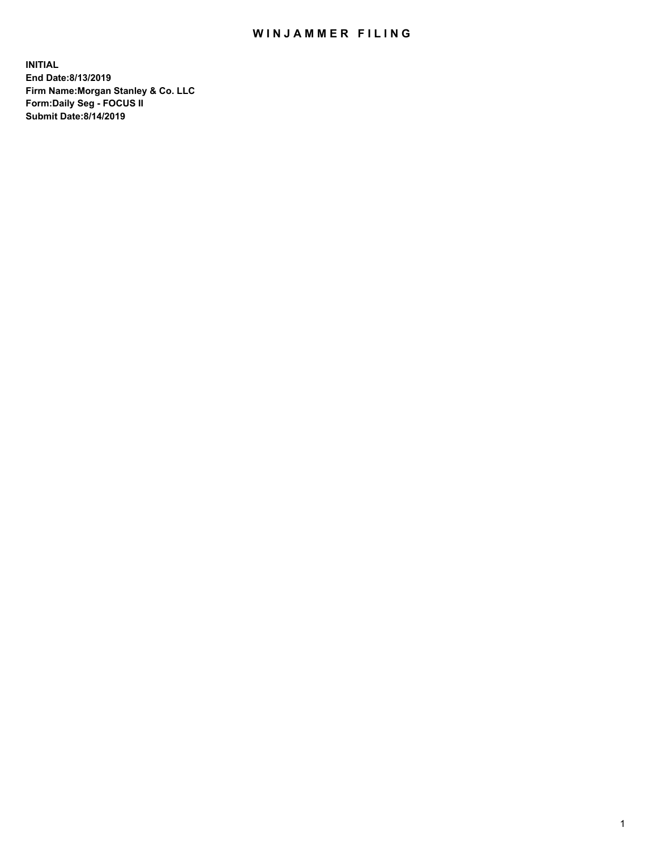## WIN JAMMER FILING

**INITIAL End Date:8/13/2019 Firm Name:Morgan Stanley & Co. LLC Form:Daily Seg - FOCUS II Submit Date:8/14/2019**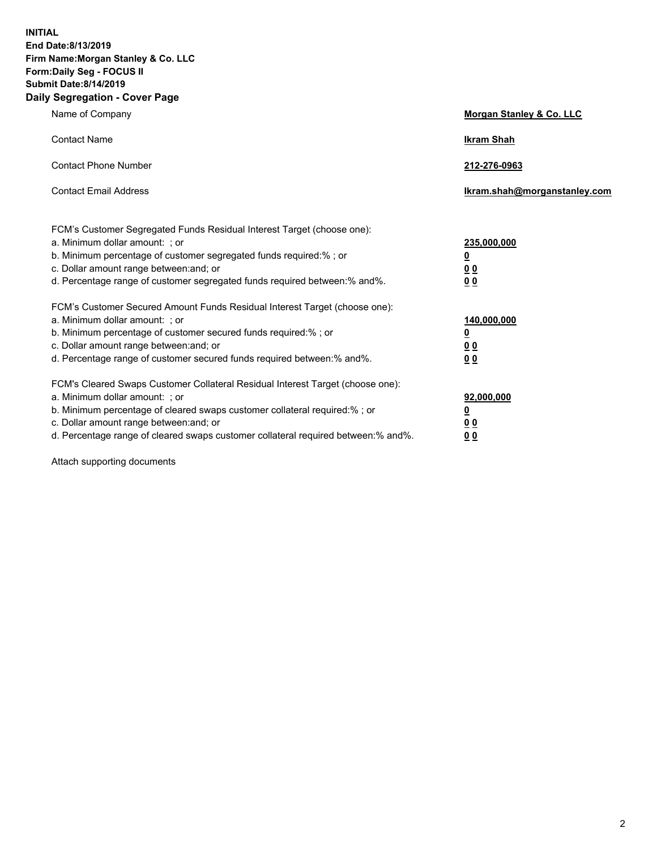**INITIAL End Date:8/13/2019 Firm Name:Morgan Stanley & Co. LLC Form:Daily Seg - FOCUS II Submit Date:8/14/2019 Daily Segregation - Cover Page**

| Name of Company                                                                   | Morgan Stanley & Co. LLC     |
|-----------------------------------------------------------------------------------|------------------------------|
| <b>Contact Name</b>                                                               | <b>Ikram Shah</b>            |
| <b>Contact Phone Number</b>                                                       | 212-276-0963                 |
| <b>Contact Email Address</b>                                                      | Ikram.shah@morganstanley.com |
| FCM's Customer Segregated Funds Residual Interest Target (choose one):            |                              |
| a. Minimum dollar amount: ; or                                                    | 235,000,000                  |
| b. Minimum percentage of customer segregated funds required:% ; or                | <u>0</u>                     |
| c. Dollar amount range between: and; or                                           | <u>0 0</u>                   |
| d. Percentage range of customer segregated funds required between: % and %.       | 0 Q                          |
| FCM's Customer Secured Amount Funds Residual Interest Target (choose one):        |                              |
| a. Minimum dollar amount: ; or                                                    | 140,000,000                  |
| b. Minimum percentage of customer secured funds required:%; or                    | <u>0</u>                     |
| c. Dollar amount range between: and; or                                           | 0 <sub>0</sub>               |
| d. Percentage range of customer secured funds required between:% and%.            | 0 <sub>0</sub>               |
| FCM's Cleared Swaps Customer Collateral Residual Interest Target (choose one):    |                              |
| a. Minimum dollar amount: ; or                                                    | 92,000,000                   |
| b. Minimum percentage of cleared swaps customer collateral required:% ; or        | <u>0</u>                     |
| c. Dollar amount range between: and; or                                           | 0 Q                          |
| d. Percentage range of cleared swaps customer collateral required between:% and%. | 00                           |

Attach supporting documents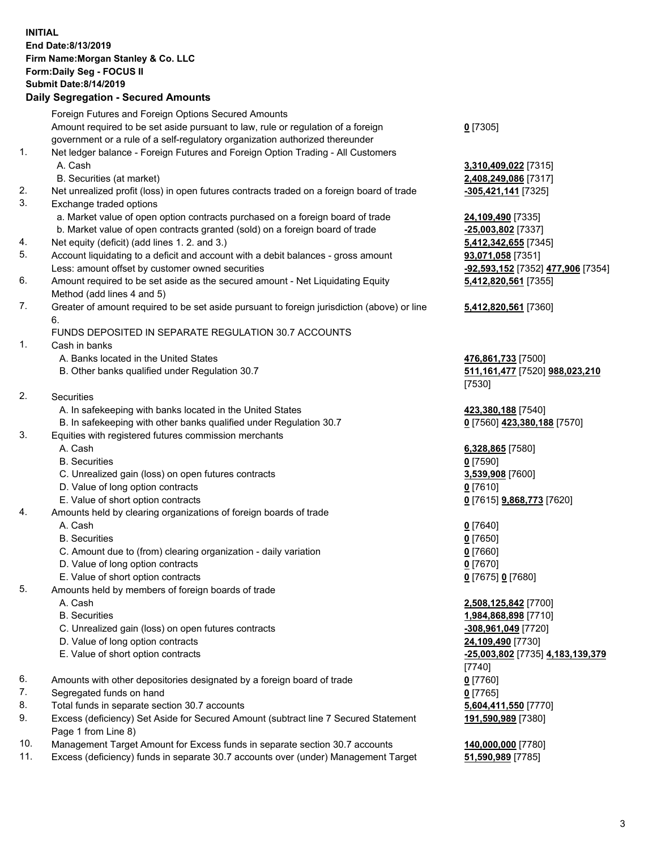## **INITIAL End Date:8/13/2019 Firm Name:Morgan Stanley & Co. LLC Form:Daily Seg - FOCUS II Submit Date:8/14/2019 Daily Segregation - Secured Amounts**

|    | Foreign Futures and Foreign Options Secured Amounts                                         |                                          |
|----|---------------------------------------------------------------------------------------------|------------------------------------------|
|    | Amount required to be set aside pursuant to law, rule or regulation of a foreign            | $0$ [7305]                               |
|    | government or a rule of a self-regulatory organization authorized thereunder                |                                          |
| 1. | Net ledger balance - Foreign Futures and Foreign Option Trading - All Customers             |                                          |
|    | A. Cash                                                                                     | 3,310,409,022 [7315]                     |
|    | B. Securities (at market)                                                                   | 2,408,249,086 [7317]                     |
| 2. | Net unrealized profit (loss) in open futures contracts traded on a foreign board of trade   | -305,421,141 [7325]                      |
| 3. | Exchange traded options                                                                     |                                          |
|    | a. Market value of open option contracts purchased on a foreign board of trade              | 24,109,490 [7335]                        |
|    | b. Market value of open contracts granted (sold) on a foreign board of trade                | -25,003,802 [7337]                       |
| 4. | Net equity (deficit) (add lines 1.2. and 3.)                                                | 5,412,342,655 [7345]                     |
| 5. | Account liquidating to a deficit and account with a debit balances - gross amount           | 93,071,058 [7351]                        |
|    | Less: amount offset by customer owned securities                                            | -92,593,152 [7352] 477,906 [7354]        |
| 6. | Amount required to be set aside as the secured amount - Net Liquidating Equity              | 5,412,820,561 [7355]                     |
|    | Method (add lines 4 and 5)                                                                  |                                          |
| 7. | Greater of amount required to be set aside pursuant to foreign jurisdiction (above) or line | 5,412,820,561 [7360]                     |
|    | 6.                                                                                          |                                          |
| 1. | FUNDS DEPOSITED IN SEPARATE REGULATION 30.7 ACCOUNTS                                        |                                          |
|    | Cash in banks<br>A. Banks located in the United States                                      |                                          |
|    | B. Other banks qualified under Regulation 30.7                                              | 476,861,733 [7500]                       |
|    |                                                                                             | 511,161,477 [7520] 988,023,210<br>[7530] |
| 2. | Securities                                                                                  |                                          |
|    | A. In safekeeping with banks located in the United States                                   | 423,380,188 [7540]                       |
|    | B. In safekeeping with other banks qualified under Regulation 30.7                          | 0 [7560] 423,380,188 [7570]              |
| 3. | Equities with registered futures commission merchants                                       |                                          |
|    | A. Cash                                                                                     | 6,328,865 [7580]                         |
|    | <b>B.</b> Securities                                                                        | $0$ [7590]                               |
|    | C. Unrealized gain (loss) on open futures contracts                                         | 3,539,908 [7600]                         |
|    | D. Value of long option contracts                                                           | $0$ [7610]                               |
|    | E. Value of short option contracts                                                          | 0 [7615] <b>9,868,773</b> [7620]         |
| 4. | Amounts held by clearing organizations of foreign boards of trade                           |                                          |
|    | A. Cash                                                                                     | $0$ [7640]                               |
|    | <b>B.</b> Securities                                                                        | $0$ [7650]                               |
|    | C. Amount due to (from) clearing organization - daily variation                             | $0$ [7660]                               |
|    | D. Value of long option contracts                                                           | $0$ [7670]                               |
|    | E. Value of short option contracts                                                          | 0 [7675] 0 [7680]                        |
| 5. | Amounts held by members of foreign boards of trade                                          |                                          |
|    | A. Cash                                                                                     | 2,508,125,842 [7700]                     |
|    | <b>B.</b> Securities                                                                        | 1,984,868,898 [7710]                     |
|    | C. Unrealized gain (loss) on open futures contracts                                         | -308,961,049 [7720]                      |
|    | D. Value of long option contracts                                                           | 24,109,490 [7730]                        |
|    | E. Value of short option contracts                                                          | -25,003,802 [7735] 4,183,139,379         |
|    |                                                                                             | [7740]                                   |
| 6. | Amounts with other depositories designated by a foreign board of trade                      | $0$ [7760]                               |
| 7. | Segregated funds on hand                                                                    | $0$ [7765]                               |
| 8. | Total funds in separate section 30.7 accounts                                               | 5,604,411,550 [7770]                     |
| 9. | Excess (deficiency) Set Aside for Secured Amount (subtract line 7 Secured Statement         | 191,590,989 [7380]                       |
|    | Page 1 from Line 8)                                                                         |                                          |

- 10. Management Target Amount for Excess funds in separate section 30.7 accounts **140,000,000** [7780]
- 11. Excess (deficiency) funds in separate 30.7 accounts over (under) Management Target **51,590,989** [7785]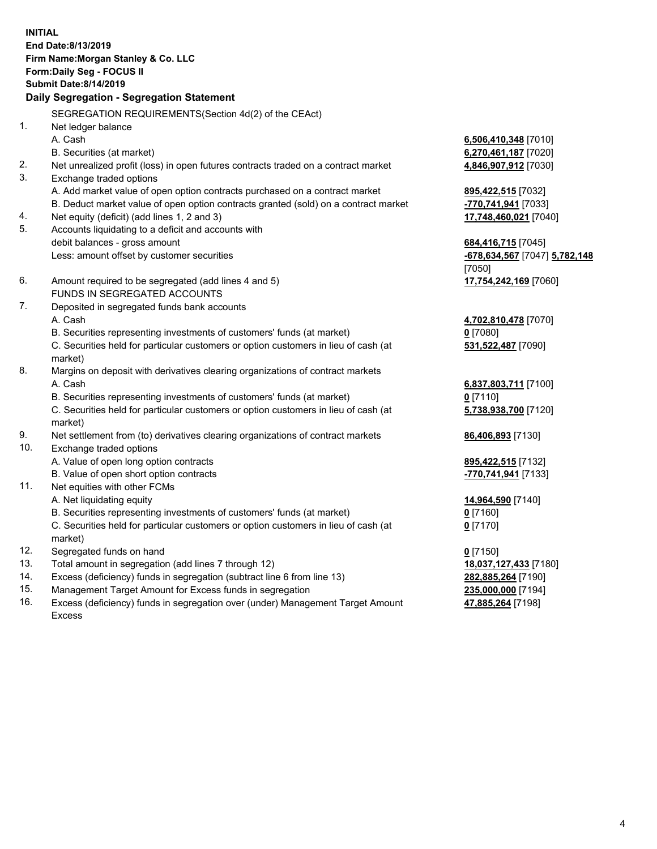**INITIAL End Date:8/13/2019 Firm Name:Morgan Stanley & Co. LLC Form:Daily Seg - FOCUS II Submit Date:8/14/2019 Daily Segregation - Segregation Statement** SEGREGATION REQUIREMENTS(Section 4d(2) of the CEAct) 1. Net ledger balance A. Cash **6,506,410,348** [7010] B. Securities (at market) **6,270,461,187** [7020] 2. Net unrealized profit (loss) in open futures contracts traded on a contract market **4,846,907,912** [7030] 3. Exchange traded options A. Add market value of open option contracts purchased on a contract market **895,422,515** [7032] B. Deduct market value of open option contracts granted (sold) on a contract market **-770,741,941** [7033] 4. Net equity (deficit) (add lines 1, 2 and 3) **17,748,460,021** [7040] 5. Accounts liquidating to a deficit and accounts with debit balances - gross amount **684,416,715** [7045] Less: amount offset by customer securities **-678,634,567** [7047] **5,782,148** [7050] 6. Amount required to be segregated (add lines 4 and 5) **17,754,242,169** [7060] FUNDS IN SEGREGATED ACCOUNTS 7. Deposited in segregated funds bank accounts A. Cash **4,702,810,478** [7070] B. Securities representing investments of customers' funds (at market) **0** [7080] C. Securities held for particular customers or option customers in lieu of cash (at market) **531,522,487** [7090] 8. Margins on deposit with derivatives clearing organizations of contract markets A. Cash **6,837,803,711** [7100] B. Securities representing investments of customers' funds (at market) **0** [7110] C. Securities held for particular customers or option customers in lieu of cash (at market) **5,738,938,700** [7120] 9. Net settlement from (to) derivatives clearing organizations of contract markets **86,406,893** [7130] 10. Exchange traded options A. Value of open long option contracts **895,422,515** [7132] B. Value of open short option contracts **-770,741,941** [7133] 11. Net equities with other FCMs A. Net liquidating equity **14,964,590** [7140] B. Securities representing investments of customers' funds (at market) **0** [7160] C. Securities held for particular customers or option customers in lieu of cash (at market) **0** [7170] 12. Segregated funds on hand **0** [7150] 13. Total amount in segregation (add lines 7 through 12) **18,037,127,433** [7180] 14. Excess (deficiency) funds in segregation (subtract line 6 from line 13) **282,885,264** [7190]

- 15. Management Target Amount for Excess funds in segregation **235,000,000** [7194]
- 16. Excess (deficiency) funds in segregation over (under) Management Target Amount Excess

**47,885,264** [7198]